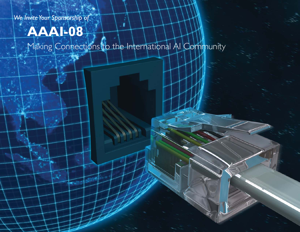*We Invite Your Sponsorship of*

# **AAAI-08**

Februar

Making Connections to the International AI Community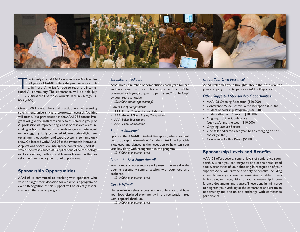

The twenty-third AAAI Conference on Artificial In- telligence (AAAI-08) offers the premier opportuni- ty in North America for you to reach the international AI community. The conference will be held July 13–17, 2008 at the Hyatt McCormick Place in Chicago, Illinois (USA).

Over 1,000 AI researchers and practitioners, representing government, university, and corporate research facilities will attend. Your participation in the AAAI-08 Sponsor Program will give you instant visibility to this diverse group of AI professionals, representing a host of research areas including robotics, the semantic web, integrated intelligent technology, physically grounded AI, interactive digital entertainment, education, and expert systems, to name only a few. Collocated with AAAI-08 is the twentieth Innovative Applications of Artificial Intelligence conference (IAAI-08), which showcases successful applications of AI technology, exploring issues, methods, and lessons learned in the development and deployment of AI applications.

# **Sponsorship Opportunities**

AAAI-08 is committed to working with sponsors who wish to target their donation for a particular program or event. Recognition of this support will be directly associated with the specific program.

## *Establish a Tradition!*

AAAI holds a number of competitions each year. You can endow an award with your choice of name, which will be presented each year, along with a permanent "Trophy Cup," by your representative.

*(\$20,000 annual sponsorship)*

*Current list of competitions:*

- AAAI Robot Competition and Exhibition
- AAAI General Game Playing Competition
- AAAI Poker Tournament
- AAAI Video Competition

#### *Support Students!*

Sponsor the AAAI-08 Student Reception, where you will be host to approximately 400 students. AAAI will provide a tabletop and signage at the reception to heighten your visibility, along with recognition in the program.

*(\$15,000 sponsorship level)*

#### *Name the Best Paper Award!*

Your company representative will present the award at the opening ceremony general session, with your logo as a backdrop.

*(\$10,000 sponsorship level)*

## *Get Us Wired!*

Underwrite wireless access at the conference, and have your logo displayed prominently in the registration area with a special thank you!

*(\$10,000 sponsorship level)*

# *Create Your Own Presence!*

AAAI welcomes your thoughts about the best way for your company to participate as a AAAI-08 sponsor.

## *Other Suggested Sponsorship Opportunities*

- AAAI-08 Opening Reception (\$20,000)
- Conference-Wide Poster/Demo Reception (\$20,000)
- Student Scholarship Program (\$20,000)
- Student Abstract Program (\$10,000)
- Ongoing Track at Conference (such as AI and the web) (\$10,000)
- Ongoing Lecture Series:
- One talk dedicated each year to an emerging or hot topic) (\$5,000)
- Conference Coffee Break (\$5,000)

# **Sponsorship Levels and Benefits**

AAAI-08 offers several general levels of conference sponsorship, which you can target at one of the areas listed above, or another of your choosing. In recognition of your support, AAAI will provide a variety of benefits, including a complimentary conference registration, a table-top exhibit space, and recognition of your sponsorship in conference documents and signage. These benefits will serve to heighten your visibility at the conference and create an opportunity for one-on-one exchange with conference participants.